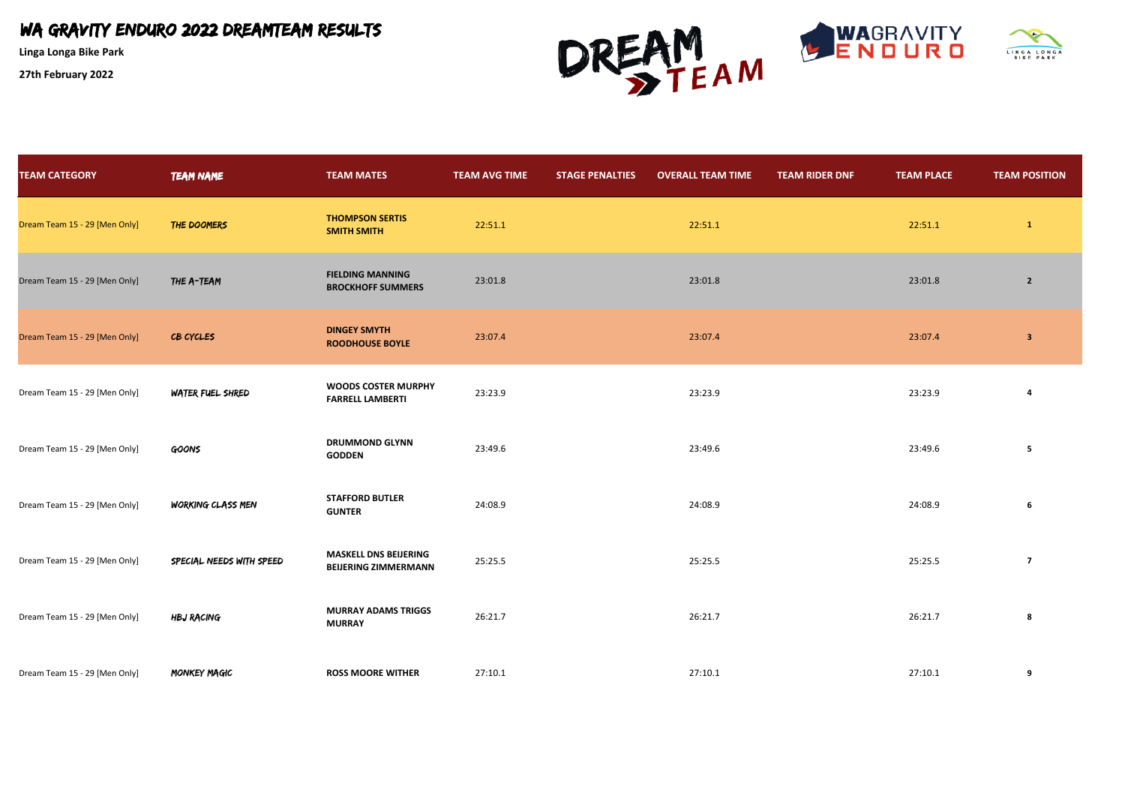**Linga Longa Bike Park**



| <b>TEAM CATEGORY</b>          | <b>TEAM NAME</b>         | <b>TEAM MATES</b>                                           | <b>TEAM AVG TIME</b> | <b>STAGE PENALTIES</b> | <b>OVERALL TEAM TIME</b> | <b>TEAM RIDER DNF</b> | <b>TEAM PLACE</b> | <b>TEAM POSITION</b>    |
|-------------------------------|--------------------------|-------------------------------------------------------------|----------------------|------------------------|--------------------------|-----------------------|-------------------|-------------------------|
| Dream Team 15 - 29 [Men Only] | THE DOOMERS              | <b>THOMPSON SERTIS</b><br><b>SMITH SMITH</b>                | 22:51.1              |                        | 22:51.1                  |                       | 22:51.1           | $\mathbf{1}$            |
| Dream Team 15 - 29 [Men Only] | THE A-TEAM               | <b>FIELDING MANNING</b><br><b>BROCKHOFF SUMMERS</b>         | 23:01.8              |                        | 23:01.8                  |                       | 23:01.8           | $\overline{2}$          |
| Dream Team 15 - 29 [Men Only] | CB CYCLES                | <b>DINGEY SMYTH</b><br><b>ROODHOUSE BOYLE</b>               | 23:07.4              |                        | 23:07.4                  |                       | 23:07.4           | $\overline{\mathbf{3}}$ |
| Dream Team 15 - 29 [Men Only] | WATER FUEL SHRED         | <b>WOODS COSTER MURPHY</b><br><b>FARRELL LAMBERTI</b>       | 23:23.9              |                        | 23:23.9                  |                       | 23:23.9           |                         |
| Dream Team 15 - 29 [Men Only] | <b>GOONS</b>             | <b>DRUMMOND GLYNN</b><br><b>GODDEN</b>                      | 23:49.6              |                        | 23:49.6                  |                       | 23:49.6           | 5                       |
| Dream Team 15 - 29 [Men Only] | WORKING CLASS MEN        | <b>STAFFORD BUTLER</b><br><b>GUNTER</b>                     | 24:08.9              |                        | 24:08.9                  |                       | 24:08.9           | 6                       |
| Dream Team 15 - 29 [Men Only] | SPECIAL NEEDS WITH SPEED | <b>MASKELL DNS BEIJERING</b><br><b>BEIJERING ZIMMERMANN</b> | 25:25.5              |                        | 25:25.5                  |                       | 25:25.5           | $\overline{\mathbf{z}}$ |
| Dream Team 15 - 29 [Men Only] | HBJ RACING               | <b>MURRAY ADAMS TRIGGS</b><br><b>MURRAY</b>                 | 26:21.7              |                        | 26:21.7                  |                       | 26:21.7           | 8                       |
| Dream Team 15 - 29 [Men Only] | MONKEY MAGIC             | <b>ROSS MOORE WITHER</b>                                    | 27:10.1              |                        | 27:10.1                  |                       | 27:10.1           | 9                       |



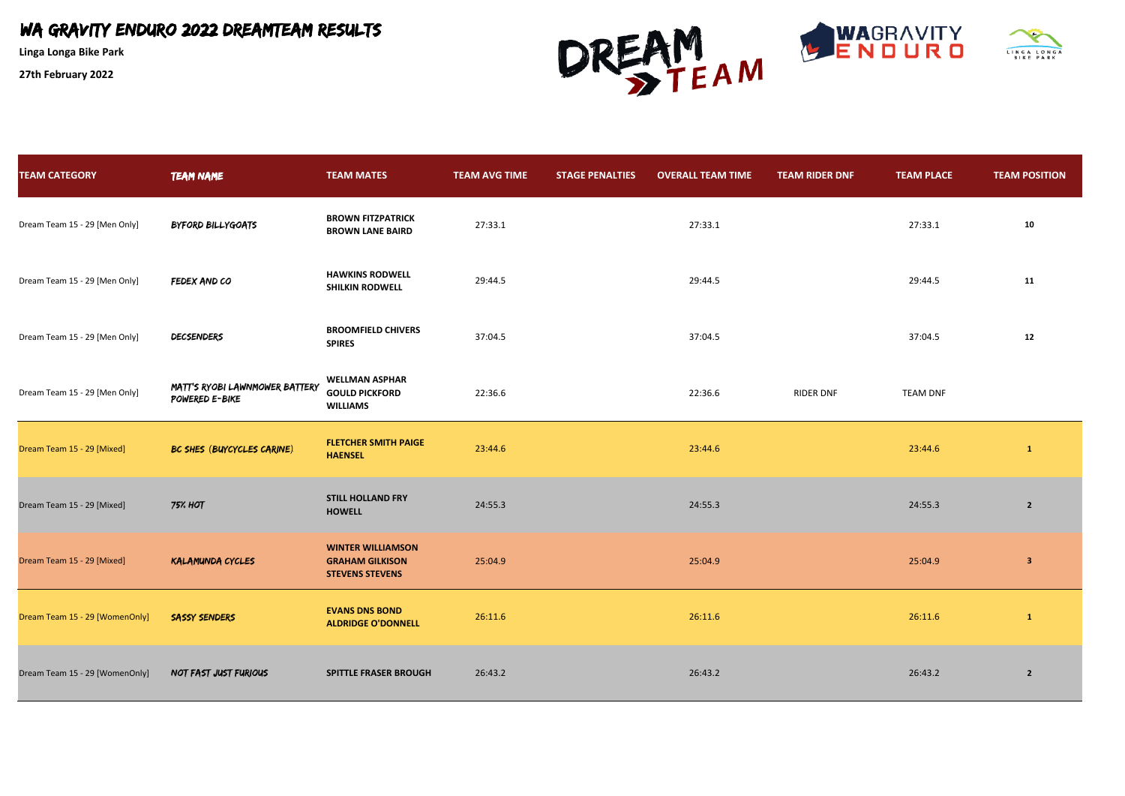**Linga Longa Bike Park**



| <b>TEAM CATEGORY</b>           | <b>TEAM NAME</b>                                 | <b>TEAM MATES</b>                                                            | <b>TEAM AVG TIME</b> | <b>STAGE PENALTIES</b> | <b>OVERALL TEAM TIME</b> | <b>TEAM RIDER DNF</b> | <b>TEAM PLACE</b> | <b>TEAM POSITION</b>    |
|--------------------------------|--------------------------------------------------|------------------------------------------------------------------------------|----------------------|------------------------|--------------------------|-----------------------|-------------------|-------------------------|
| Dream Team 15 - 29 [Men Only]  | BYFORD BILLYGOATS                                | <b>BROWN FITZPATRICK</b><br><b>BROWN LANE BAIRD</b>                          | 27:33.1              |                        | 27:33.1                  |                       | 27:33.1           | 10                      |
| Dream Team 15 - 29 [Men Only]  | FEDEX AND CO                                     | <b>HAWKINS RODWELL</b><br><b>SHILKIN RODWELL</b>                             | 29:44.5              |                        | 29:44.5                  |                       | 29:44.5           | 11                      |
| Dream Team 15 - 29 [Men Only]  | DECSENDERS                                       | <b>BROOMFIELD CHIVERS</b><br><b>SPIRES</b>                                   | 37:04.5              |                        | 37:04.5                  |                       | 37:04.5           | 12                      |
| Dream Team 15 - 29 [Men Only]  | MATT'S RYOBI LAWNMOWER BATTERY<br>POWERED E-BIKE | <b>WELLMAN ASPHAR</b><br><b>GOULD PICKFORD</b><br><b>WILLIAMS</b>            | 22:36.6              |                        | 22:36.6                  | <b>RIDER DNF</b>      | <b>TEAM DNF</b>   |                         |
| Dream Team 15 - 29 [Mixed]     | BC SHES (BUYCYCLES CARINE)                       | <b>FLETCHER SMITH PAIGE</b><br><b>HAENSEL</b>                                | 23:44.6              |                        | 23:44.6                  |                       | 23:44.6           | $\mathbf{1}$            |
| Dream Team 15 - 29 [Mixed]     | <b>75% HOT</b>                                   | <b>STILL HOLLAND FRY</b><br><b>HOWELL</b>                                    | 24:55.3              |                        | 24:55.3                  |                       | 24:55.3           | $\overline{2}$          |
| Dream Team 15 - 29 [Mixed]     | <b>KALAMUNDA CYCLES</b>                          | <b>WINTER WILLIAMSON</b><br><b>GRAHAM GILKISON</b><br><b>STEVENS STEVENS</b> | 25:04.9              |                        | 25:04.9                  |                       | 25:04.9           | $\overline{\mathbf{3}}$ |
| Dream Team 15 - 29 [WomenOnly] | <b>SASSY SENDERS</b>                             | <b>EVANS DNS BOND</b><br><b>ALDRIDGE O'DONNELL</b>                           | 26:11.6              |                        | 26:11.6                  |                       | 26:11.6           | $\vert 1 \vert$         |
| Dream Team 15 - 29 [WomenOnly] | NOT FAST JUST FURIOUS                            | <b>SPITTLE FRASER BROUGH</b>                                                 | 26:43.2              |                        | 26:43.2                  |                       | 26:43.2           | $\overline{2}$          |



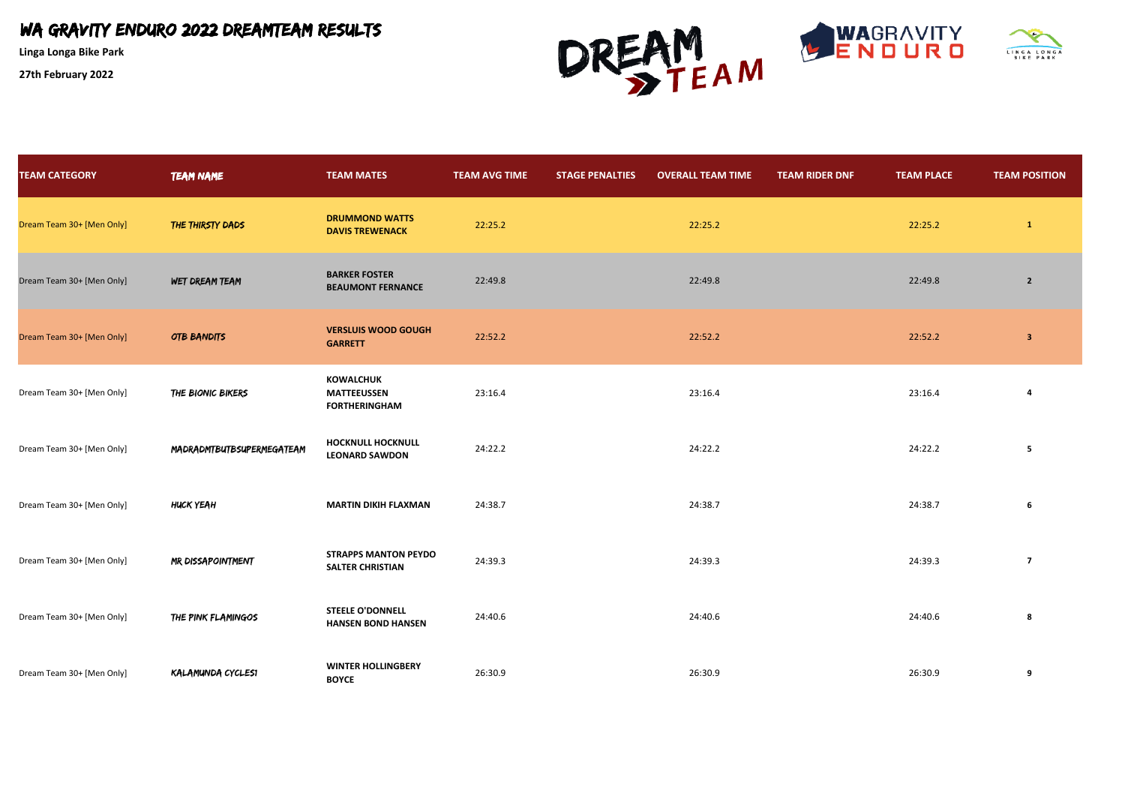**Linga Longa Bike Park**



| <b>TEAM CATEGORY</b>      | <b>TEAM NAME</b>          | <b>TEAM MATES</b>                                              | <b>TEAM AVG TIME</b> | <b>STAGE PENALTIES</b> | <b>OVERALL TEAM TIME</b> | <b>TEAM RIDER DNF</b> | <b>TEAM PLACE</b> | <b>TEAM POSITION</b>    |
|---------------------------|---------------------------|----------------------------------------------------------------|----------------------|------------------------|--------------------------|-----------------------|-------------------|-------------------------|
| Dream Team 30+ [Men Only] | THE THIRSTY DADS          | <b>DRUMMOND WATTS</b><br><b>DAVIS TREWENACK</b>                | 22:25.2              |                        | 22:25.2                  |                       | 22:25.2           | $\mathbf{1}$            |
| Dream Team 30+ [Men Only] | WET DREAM TEAM            | <b>BARKER FOSTER</b><br><b>BEAUMONT FERNANCE</b>               | 22:49.8              |                        | 22:49.8                  |                       | 22:49.8           | $\overline{2}$          |
| Dream Team 30+ [Men Only] | OTB BANDITS               | <b>VERSLUIS WOOD GOUGH</b><br><b>GARRETT</b>                   | 22:52.2              |                        | 22:52.2                  |                       | 22:52.2           | 3                       |
| Dream Team 30+ [Men Only] | THE BIONIC BIKERS         | <b>KOWALCHUK</b><br><b>MATTEEUSSEN</b><br><b>FORTHERINGHAM</b> | 23:16.4              |                        | 23:16.4                  |                       | 23:16.4           |                         |
| Dream Team 30+ [Men Only] | MADRADMTBUTBSUPERMEGATEAM | <b>HOCKNULL HOCKNULL</b><br><b>LEONARD SAWDON</b>              | 24:22.2              |                        | 24:22.2                  |                       | 24:22.2           | 5                       |
| Dream Team 30+ [Men Only] | HUCK YEAH                 | <b>MARTIN DIKIH FLAXMAN</b>                                    | 24:38.7              |                        | 24:38.7                  |                       | 24:38.7           | 6                       |
| Dream Team 30+ [Men Only] | MR DISSAPOINTMENT         | <b>STRAPPS MANTON PEYDO</b><br><b>SALTER CHRISTIAN</b>         | 24:39.3              |                        | 24:39.3                  |                       | 24:39.3           | $\overline{\mathbf{z}}$ |
| Dream Team 30+ [Men Only] | THE PINK FLAMINGOS        | <b>STEELE O'DONNELL</b><br><b>HANSEN BOND HANSEN</b>           | 24:40.6              |                        | 24:40.6                  |                       | 24:40.6           | 8                       |
| Dream Team 30+ [Men Only] | KALAMUNDA CYCLESI         | <b>WINTER HOLLINGBERY</b><br><b>BOYCE</b>                      | 26:30.9              |                        | 26:30.9                  |                       | 26:30.9           | 9                       |



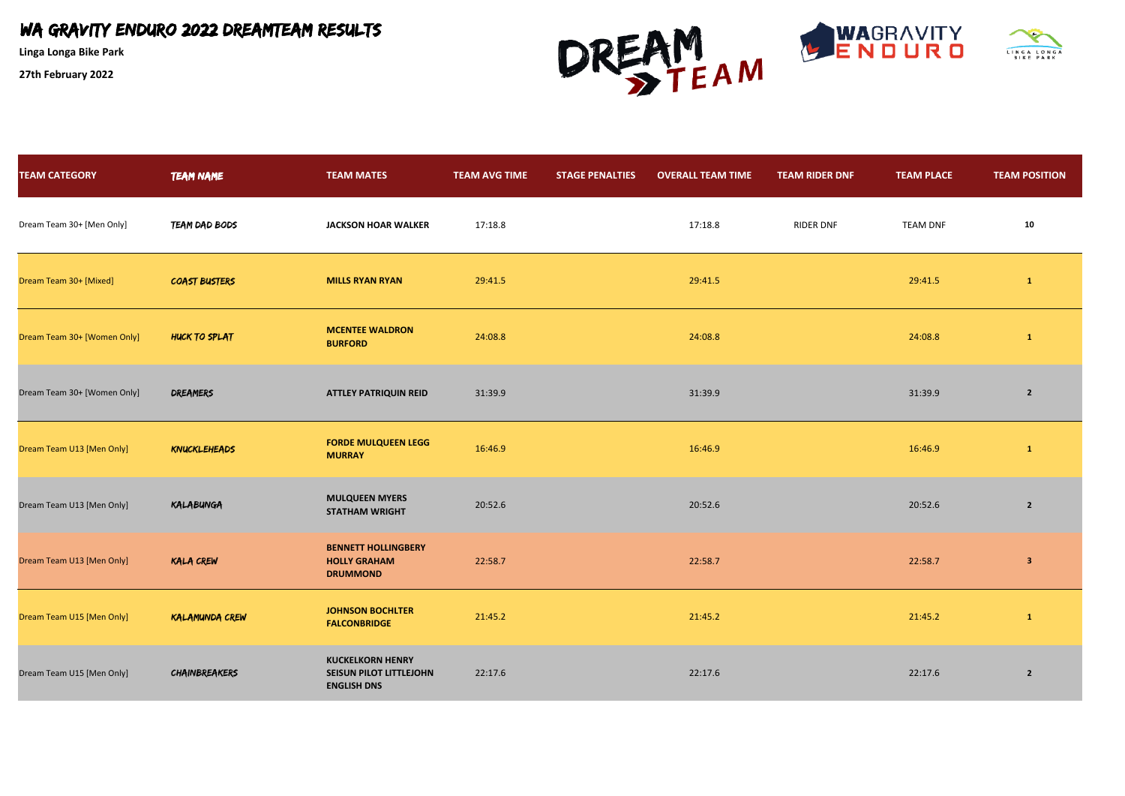**Linga Longa Bike Park**



| <b>TEAM CATEGORY</b>        | <b>TEAM NAME</b>      | <b>TEAM MATES</b>                                                        | <b>TEAM AVG TIME</b> | <b>STAGE PENALTIES</b> | <b>OVERALL TEAM TIME</b> | <b>TEAM RIDER DNF</b> | <b>TEAM PLACE</b> | <b>TEAM POSITION</b> |
|-----------------------------|-----------------------|--------------------------------------------------------------------------|----------------------|------------------------|--------------------------|-----------------------|-------------------|----------------------|
| Dream Team 30+ [Men Only]   | TEAM DAD BODS         | <b>JACKSON HOAR WALKER</b>                                               | 17:18.8              |                        | 17:18.8                  | <b>RIDER DNF</b>      | <b>TEAM DNF</b>   | 10                   |
| Dream Team 30+ [Mixed]      | <b>COAST BUSTERS</b>  | <b>MILLS RYAN RYAN</b>                                                   | 29:41.5              |                        | 29:41.5                  |                       | 29:41.5           | $\mathbf{1}$         |
| Dream Team 30+ [Women Only] | HUCK TO SPLAT         | <b>MCENTEE WALDRON</b><br><b>BURFORD</b>                                 | 24:08.8              |                        | 24:08.8                  |                       | 24:08.8           | -1                   |
| Dream Team 30+ [Women Only] | <b>DREAMERS</b>       | <b>ATTLEY PATRIQUIN REID</b>                                             | 31:39.9              |                        | 31:39.9                  |                       | 31:39.9           | $2^{\circ}$          |
| Dream Team U13 [Men Only]   | <b>KNUCKLEHEADS</b>   | <b>FORDE MULQUEEN LEGG</b><br><b>MURRAY</b>                              | 16:46.9              |                        | 16:46.9                  |                       | 16:46.9           | $\mathbf{1}$         |
| Dream Team U13 [Men Only]   | KALABUNGA             | <b>MULQUEEN MYERS</b><br><b>STATHAM WRIGHT</b>                           | 20:52.6              |                        | 20:52.6                  |                       | 20:52.6           | $\overline{2}$       |
| Dream Team U13 [Men Only]   | <b>KALA CREW</b>      | <b>BENNETT HOLLINGBERY</b><br><b>HOLLY GRAHAM</b><br><b>DRUMMOND</b>     | 22:58.7              |                        | 22:58.7                  |                       | 22:58.7           | $\mathbf{3}$         |
| Dream Team U15 [Men Only]   | <b>KALAMUNDA CREW</b> | <b>JOHNSON BOCHLTER</b><br><b>FALCONBRIDGE</b>                           | 21:45.2              |                        | 21:45.2                  |                       | 21:45.2           | $\mathbf{1}$         |
| Dream Team U15 [Men Only]   | <b>CHAINBREAKERS</b>  | <b>KUCKELKORN HENRY</b><br>SEISUN PILOT LITTLEJOHN<br><b>ENGLISH DNS</b> | 22:17.6              |                        | 22:17.6                  |                       | 22:17.6           | $\overline{2}$       |



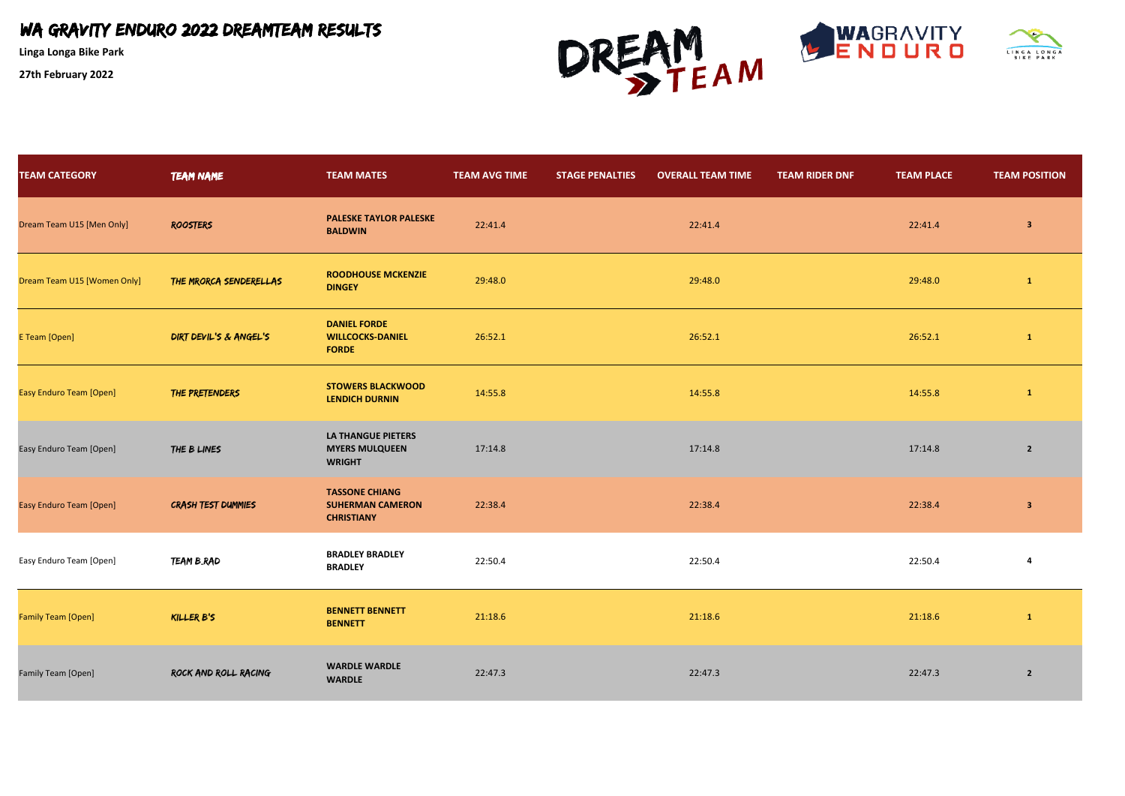**Linga Longa Bike Park**



| <b>TEAM CATEGORY</b>           | <b>TEAM NAME</b>       | <b>TEAM MATES</b>                                                     | <b>TEAM AVG TIME</b> | <b>STAGE PENALTIES</b> | <b>OVERALL TEAM TIME</b> | <b>TEAM RIDER DNF</b> | <b>TEAM PLACE</b> | <b>TEAM POSITION</b>    |
|--------------------------------|------------------------|-----------------------------------------------------------------------|----------------------|------------------------|--------------------------|-----------------------|-------------------|-------------------------|
| Dream Team U15 [Men Only]      | <b>ROOSTERS</b>        | <b>PALESKE TAYLOR PALESKE</b><br><b>BALDWIN</b>                       | 22:41.4              |                        | 22:41.4                  |                       | 22:41.4           | $\overline{\mathbf{3}}$ |
| Dream Team U15 [Women Only]    | THE MRORCA SENDERELLAS | <b>ROODHOUSE MCKENZIE</b><br><b>DINGEY</b>                            | 29:48.0              |                        | 29:48.0                  |                       | 29:48.0           | 1                       |
| E Team [Open]                  | DIRT DEVIL'S & ANGEL'S | <b>DANIEL FORDE</b><br><b>WILLCOCKS-DANIEL</b><br><b>FORDE</b>        | 26:52.1              |                        | 26:52.1                  |                       | 26:52.1           | $\mathbf{1}$            |
| <b>Easy Enduro Team [Open]</b> | THE PRETENDERS         | <b>STOWERS BLACKWOOD</b><br><b>LENDICH DURNIN</b>                     | 14:55.8              |                        | 14:55.8                  |                       | 14:55.8           | $\mathbf{1}$            |
| Easy Enduro Team [Open]        | THE B LINES            | <b>LA THANGUE PIETERS</b><br><b>MYERS MULQUEEN</b><br><b>WRIGHT</b>   | 17:14.8              |                        | 17:14.8                  |                       | 17:14.8           | $\overline{2}$          |
| <b>Easy Enduro Team [Open]</b> | CRASH TEST DUMMIES     | <b>TASSONE CHIANG</b><br><b>SUHERMAN CAMERON</b><br><b>CHRISTIANY</b> | 22:38.4              |                        | 22:38.4                  |                       | 22:38.4           | $\mathbf{3}$            |
| Easy Enduro Team [Open]        | TEAM B_RAD             | <b>BRADLEY BRADLEY</b><br><b>BRADLEY</b>                              | 22:50.4              |                        | 22:50.4                  |                       | 22:50.4           | 4                       |
| <b>Family Team [Open]</b>      | KILLER B'S             | <b>BENNETT BENNETT</b><br><b>BENNETT</b>                              | 21:18.6              |                        | 21:18.6                  |                       | 21:18.6           | $\mathbf{1}$            |
| Family Team [Open]             | ROCK AND ROLL RACING   | <b>WARDLE WARDLE</b><br><b>WARDLE</b>                                 | 22:47.3              |                        | 22:47.3                  |                       | 22:47.3           | $\overline{2}$          |